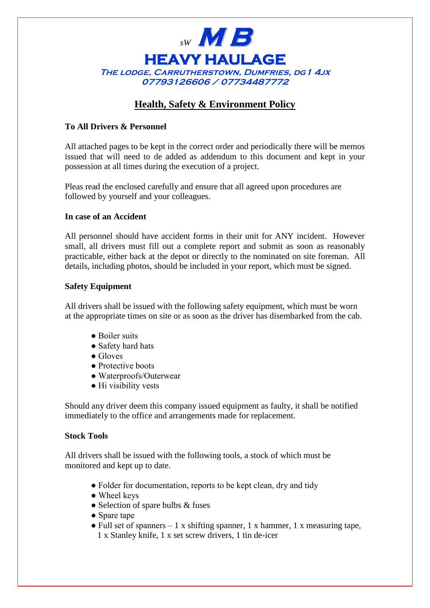

# **Health, Safety & Environment Policy**

# **To All Drivers & Personnel**

All attached pages to be kept in the correct order and periodically there will be memos issued that will need to de added as addendum to this document and kept in your possession at all times during the execution of a project.

Pleas read the enclosed carefully and ensure that all agreed upon procedures are followed by yourself and your colleagues.

## **In case of an Accident**

All personnel should have accident forms in their unit for ANY incident. However small, all drivers must fill out a complete report and submit as soon as reasonably practicable, either back at the depot or directly to the nominated on site foreman. All details, including photos, should be included in your report, which must be signed.

#### **Safety Equipment**

All drivers shall be issued with the following safety equipment, which must be worn at the appropriate times on site or as soon as the driver has disembarked from the cab.

- Boiler suits
- Safety hard hats
- Gloves
- Protective boots
- Waterproofs/Outerwear
- Hi visibility vests

Should any driver deem this company issued equipment as faulty, it shall be notified immediately to the office and arrangements made for replacement.

## **Stock Tools**

All drivers shall be issued with the following tools, a stock of which must be monitored and kept up to date.

- Folder for documentation, reports to be kept clean, dry and tidy
- Wheel keys
- $\bullet$  Selection of spare bulbs & fuses
- Spare tape
- Full set of spanners  $-1$  x shifting spanner, 1 x hammer, 1 x measuring tape,
	- 1 x Stanley knife, 1 x set screw drivers, 1 tin de-icer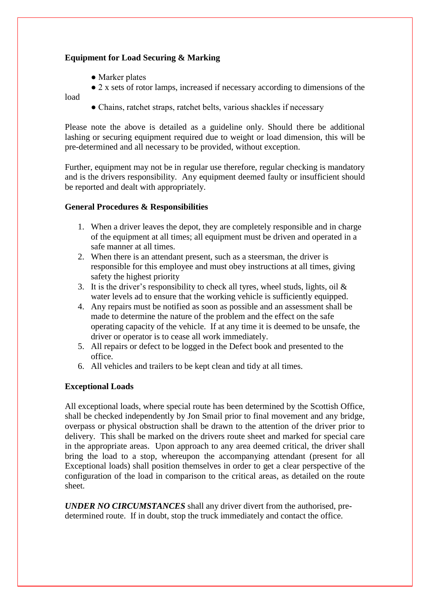# **Equipment for Load Securing & Marking**

- Marker plates
- 2 x sets of rotor lamps, increased if necessary according to dimensions of the

load

• Chains, ratchet straps, ratchet belts, various shackles if necessary

Please note the above is detailed as a guideline only. Should there be additional lashing or securing equipment required due to weight or load dimension, this will be pre-determined and all necessary to be provided, without exception.

Further, equipment may not be in regular use therefore, regular checking is mandatory and is the drivers responsibility. Any equipment deemed faulty or insufficient should be reported and dealt with appropriately.

# **General Procedures & Responsibilities**

- 1. When a driver leaves the depot, they are completely responsible and in charge of the equipment at all times; all equipment must be driven and operated in a safe manner at all times.
- 2. When there is an attendant present, such as a steersman, the driver is responsible for this employee and must obey instructions at all times, giving safety the highest priority
- 3. It is the driver's responsibility to check all tyres, wheel studs, lights, oil  $\&$ water levels ad to ensure that the working vehicle is sufficiently equipped.
- 4. Any repairs must be notified as soon as possible and an assessment shall be made to determine the nature of the problem and the effect on the safe operating capacity of the vehicle. If at any time it is deemed to be unsafe, the driver or operator is to cease all work immediately.
- 5. All repairs or defect to be logged in the Defect book and presented to the office.
- 6. All vehicles and trailers to be kept clean and tidy at all times.

# **Exceptional Loads**

All exceptional loads, where special route has been determined by the Scottish Office, shall be checked independently by Jon Smail prior to final movement and any bridge, overpass or physical obstruction shall be drawn to the attention of the driver prior to delivery. This shall be marked on the drivers route sheet and marked for special care in the appropriate areas. Upon approach to any area deemed critical, the driver shall bring the load to a stop, whereupon the accompanying attendant (present for all Exceptional loads) shall position themselves in order to get a clear perspective of the configuration of the load in comparison to the critical areas, as detailed on the route sheet.

*UNDER NO CIRCUMSTANCES* shall any driver divert from the authorised, predetermined route. If in doubt, stop the truck immediately and contact the office.